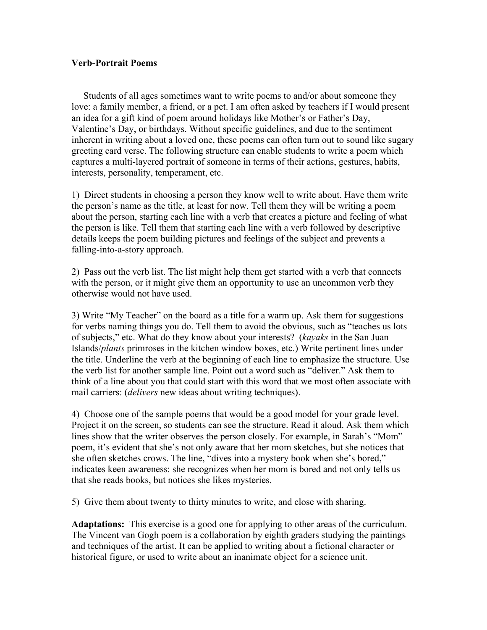## **Verb-Portrait Poems**

 Students of all ages sometimes want to write poems to and/or about someone they love: a family member, a friend, or a pet. I am often asked by teachers if I would present an idea for a gift kind of poem around holidays like Mother's or Father's Day, Valentine's Day, or birthdays. Without specific guidelines, and due to the sentiment inherent in writing about a loved one, these poems can often turn out to sound like sugary greeting card verse. The following structure can enable students to write a poem which captures a multi-layered portrait of someone in terms of their actions, gestures, habits, interests, personality, temperament, etc.

1) Direct students in choosing a person they know well to write about. Have them write the person's name as the title, at least for now. Tell them they will be writing a poem about the person, starting each line with a verb that creates a picture and feeling of what the person is like. Tell them that starting each line with a verb followed by descriptive details keeps the poem building pictures and feelings of the subject and prevents a falling-into-a-story approach.

2) Pass out the verb list. The list might help them get started with a verb that connects with the person, or it might give them an opportunity to use an uncommon verb they otherwise would not have used.

3) Write "My Teacher" on the board as a title for a warm up. Ask them for suggestions for verbs naming things you do. Tell them to avoid the obvious, such as "teaches us lots of subjects," etc. What do they know about your interests? (*kayaks* in the San Juan Islands/*plants* primroses in the kitchen window boxes, etc.) Write pertinent lines under the title. Underline the verb at the beginning of each line to emphasize the structure. Use the verb list for another sample line. Point out a word such as "deliver." Ask them to think of a line about you that could start with this word that we most often associate with mail carriers: (*delivers* new ideas about writing techniques).

4) Choose one of the sample poems that would be a good model for your grade level. Project it on the screen, so students can see the structure. Read it aloud. Ask them which lines show that the writer observes the person closely. For example, in Sarah's "Mom" poem, it's evident that she's not only aware that her mom sketches, but she notices that she often sketches crows. The line, "dives into a mystery book when she's bored," indicates keen awareness: she recognizes when her mom is bored and not only tells us that she reads books, but notices she likes mysteries.

5) Give them about twenty to thirty minutes to write, and close with sharing.

**Adaptations:** This exercise is a good one for applying to other areas of the curriculum. The Vincent van Gogh poem is a collaboration by eighth graders studying the paintings and techniques of the artist. It can be applied to writing about a fictional character or historical figure, or used to write about an inanimate object for a science unit.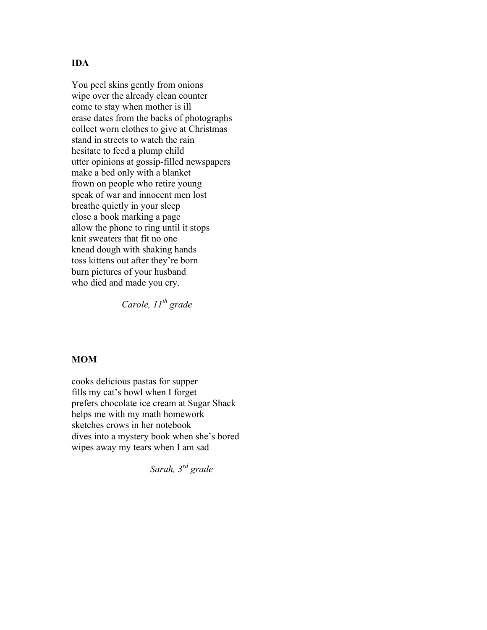## **IDA**

You peel skins gently from onions wipe over the already clean counter come to stay when mother is ill erase dates from the backs of photographs collect worn clothes to give at Christmas stand in streets to watch the rain hesitate to feed a plump child utter opinions at gossip-filled newspapers make a bed only with a blanket frown on people who retire young speak of war and innocent men lost breathe quietly in your sleep close a book marking a page allow the phone to ring until it stops knit sweaters that fit no one knead dough with shaking hands toss kittens out after they're born burn pictures of your husband who died and made you cry.

*Carole, 11th grade*

#### **MOM**

cooks delicious pastas for supper fills my cat's bowl when I forget prefers chocolate ice cream at Sugar Shack helps me with my math homework sketches crows in her notebook dives into a mystery book when she's bored wipes away my tears when I am sad

*Sarah, 3rd grade*